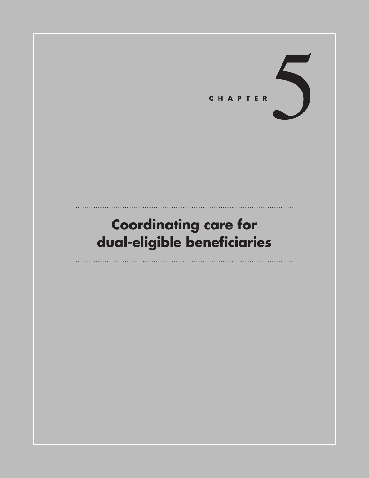

# **Coordinating care for dual-eligible beneficiaries**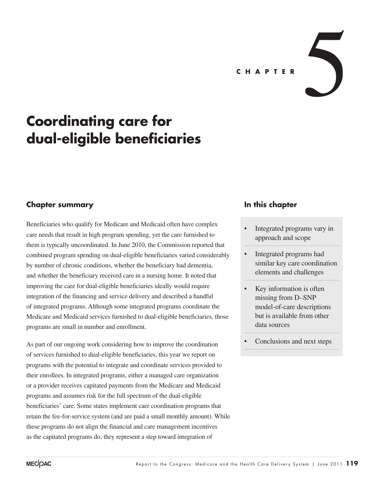# **Coordinating care for dual-eligible beneficiaries**

### **Chapter summary**

Beneficiaries who qualify for Medicare and Medicaid often have complex care needs that result in high program spending, yet the care furnished to them is typically uncoordinated. In June 2010, the Commission reported that combined program spending on dual-eligible beneficiaries varied considerably by number of chronic conditions, whether the beneficiary had dementia, and whether the beneficiary received care in a nursing home. It noted that improving the care for dual-eligible beneficiaries ideally would require integration of the financing and service delivery and described a handful of integrated programs. Although some integrated programs coordinate the Medicare and Medicaid services furnished to dual-eligible beneficiaries, those programs are small in number and enrollment.

As part of our ongoing work considering how to improve the coordination of services furnished to dual-eligible beneficiaries, this year we report on programs with the potential to integrate and coordinate services provided to their enrollees. In integrated programs, either a managed care organization or a provider receives capitated payments from the Medicare and Medicaid programs and assumes risk for the full spectrum of the dual-eligible beneficiaries' care. Some states implement care coordination programs that retain the fee-for-service system (and are paid a small monthly amount). While these programs do not align the financial and care management incentives as the capitated programs do, they represent a step toward integration of

#### **In this chapter**

- Integrated programs vary in approach and scope
- Integrated programs had similar key care coordination elements and challenges
- Key information is often missing from D–SNP model-of-care descriptions but is available from other data sources

Conclusions and next steps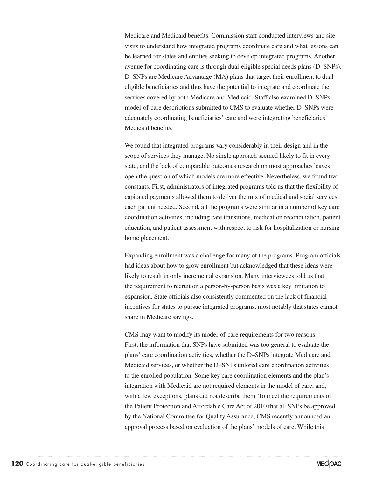Medicare and Medicaid benefits. Commission staff conducted interviews and site visits to understand how integrated programs coordinate care and what lessons can be learned for states and entities seeking to develop integrated programs. Another avenue for coordinating care is through dual-eligible special needs plans (D–SNPs). D–SNPs are Medicare Advantage (MA) plans that target their enrollment to dualeligible beneficiaries and thus have the potential to integrate and coordinate the services covered by both Medicare and Medicaid. Staff also examined D–SNPs' model-of-care descriptions submitted to CMS to evaluate whether D–SNPs were adequately coordinating beneficiaries' care and were integrating beneficiaries' Medicaid benefits.

We found that integrated programs vary considerably in their design and in the scope of services they manage. No single approach seemed likely to fit in every state, and the lack of comparable outcomes research on most approaches leaves open the question of which models are more effective. Nevertheless, we found two constants. First, administrators of integrated programs told us that the flexibility of capitated payments allowed them to deliver the mix of medical and social services each patient needed. Second, all the programs were similar in a number of key care coordination activities, including care transitions, medication reconciliation, patient education, and patient assessment with respect to risk for hospitalization or nursing home placement.

Expanding enrollment was a challenge for many of the programs. Program officials had ideas about how to grow enrollment but acknowledged that these ideas were likely to result in only incremental expansion. Many interviewees told us that the requirement to recruit on a person-by-person basis was a key limitation to expansion. State officials also consistently commented on the lack of financial incentives for states to pursue integrated programs, most notably that states cannot share in Medicare savings.

CMS may want to modify its model-of-care requirements for two reasons. First, the information that SNPs have submitted was too general to evaluate the plans' care coordination activities, whether the D–SNPs integrate Medicare and Medicaid services, or whether the D–SNPs tailored care coordination activities to the enrolled population. Some key care coordination elements and the plan's integration with Medicaid are not required elements in the model of care, and, with a few exceptions, plans did not describe them. To meet the requirements of the Patient Protection and Affordable Care Act of 2010 that all SNPs be approved by the National Committee for Quality Assurance, CMS recently announced an approval process based on evaluation of the plans' models of care. While this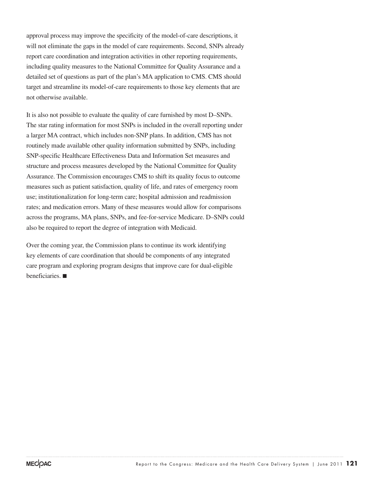approval process may improve the specificity of the model-of-care descriptions, it will not eliminate the gaps in the model of care requirements. Second, SNPs already report care coordination and integration activities in other reporting requirements, including quality measures to the National Committee for Quality Assurance and a detailed set of questions as part of the plan's MA application to CMS. CMS should target and streamline its model-of-care requirements to those key elements that are not otherwise available.

It is also not possible to evaluate the quality of care furnished by most D–SNPs. The star rating information for most SNPs is included in the overall reporting under a larger MA contract, which includes non-SNP plans. In addition, CMS has not routinely made available other quality information submitted by SNPs, including SNP-specific Healthcare Effectiveness Data and Information Set measures and structure and process measures developed by the National Committee for Quality Assurance. The Commission encourages CMS to shift its quality focus to outcome measures such as patient satisfaction, quality of life, and rates of emergency room use; institutionalization for long-term care; hospital admission and readmission rates; and medication errors. Many of these measures would allow for comparisons across the programs, MA plans, SNPs, and fee-for-service Medicare. D–SNPs could also be required to report the degree of integration with Medicaid.

Over the coming year, the Commission plans to continue its work identifying key elements of care coordination that should be components of any integrated care program and exploring program designs that improve care for dual-eligible beneficiaries. ■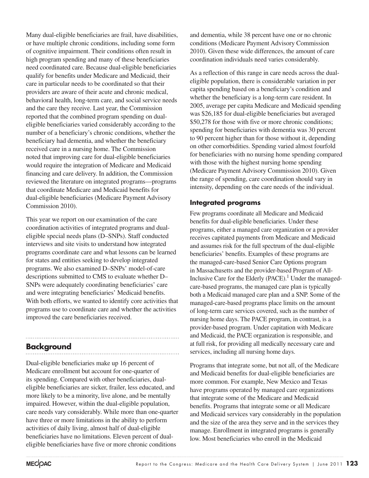Many dual-eligible beneficiaries are frail, have disabilities, or have multiple chronic conditions, including some form of cognitive impairment. Their conditions often result in high program spending and many of these beneficiaries need coordinated care. Because dual-eligible beneficiaries qualify for benefits under Medicare and Medicaid, their care in particular needs to be coordinated so that their providers are aware of their acute and chronic medical, behavioral health, long-term care, and social service needs and the care they receive. Last year, the Commission reported that the combined program spending on dualeligible beneficiaries varied considerably according to the number of a beneficiary's chronic conditions, whether the beneficiary had dementia, and whether the beneficiary received care in a nursing home. The Commission noted that improving care for dual-eligible beneficiaries would require the integration of Medicare and Medicaid financing and care delivery. In addition, the Commission reviewed the literature on integrated programs—programs that coordinate Medicare and Medicaid benefits for dual-eligible beneficiaries (Medicare Payment Advisory Commission 2010).

This year we report on our examination of the care coordination activities of integrated programs and dualeligible special needs plans (D–SNPs). Staff conducted interviews and site visits to understand how integrated programs coordinate care and what lessons can be learned for states and entities seeking to develop integrated programs. We also examined D–SNPs' model-of-care descriptions submitted to CMS to evaluate whether D– SNPs were adequately coordinating beneficiaries' care and were integrating beneficiaries' Medicaid benefits. With both efforts, we wanted to identify core activities that programs use to coordinate care and whether the activities improved the care beneficiaries received.

# **Background**

Dual-eligible beneficiaries make up 16 percent of Medicare enrollment but account for one-quarter of its spending. Compared with other beneficiaries, dualeligible beneficiaries are sicker, frailer, less educated, and more likely to be a minority, live alone, and be mentally impaired. However, within the dual-eligible population, care needs vary considerably. While more than one-quarter have three or more limitations in the ability to perform activities of daily living, almost half of dual-eligible beneficiaries have no limitations. Eleven percent of dualeligible beneficiaries have five or more chronic conditions

and dementia, while 38 percent have one or no chronic conditions (Medicare Payment Advisory Commission 2010). Given these wide differences, the amount of care coordination individuals need varies considerably.

As a reflection of this range in care needs across the dualeligible population, there is considerable variation in per capita spending based on a beneficiary's condition and whether the beneficiary is a long-term care resident. In 2005, average per capita Medicare and Medicaid spending was \$26,185 for dual-eligible beneficiaries but averaged \$50,278 for those with five or more chronic conditions; spending for beneficiaries with dementia was 30 percent to 90 percent higher than for those without it, depending on other comorbidities. Spending varied almost fourfold for beneficiaries with no nursing home spending compared with those with the highest nursing home spending (Medicare Payment Advisory Commission 2010). Given the range of spending, care coordination should vary in intensity, depending on the care needs of the individual.

#### **Integrated programs**

Few programs coordinate all Medicare and Medicaid benefits for dual-eligible beneficiaries. Under these programs, either a managed care organization or a provider receives capitated payments from Medicare and Medicaid and assumes risk for the full spectrum of the dual-eligible beneficiaries' benefits. Examples of these programs are the managed-care-based Senior Care Options program in Massachusetts and the provider-based Program of All-Inclusive Care for the Elderly  $(PACE)^1$ . Under the managedcare-based programs, the managed care plan is typically both a Medicaid managed care plan and a SNP. Some of the managed-care-based programs place limits on the amount of long-term care services covered, such as the number of nursing home days. The PACE program, in contrast, is a provider-based program. Under capitation with Medicare and Medicaid, the PACE organization is responsible, and at full risk, for providing all medically necessary care and services, including all nursing home days.

Programs that integrate some, but not all, of the Medicare and Medicaid benefits for dual-eligible beneficiaries are more common. For example, New Mexico and Texas have programs operated by managed care organizations that integrate some of the Medicare and Medicaid benefits. Programs that integrate some or all Medicare and Medicaid services vary considerably in the population and the size of the area they serve and in the services they manage. Enrollment in integrated programs is generally low. Most beneficiaries who enroll in the Medicaid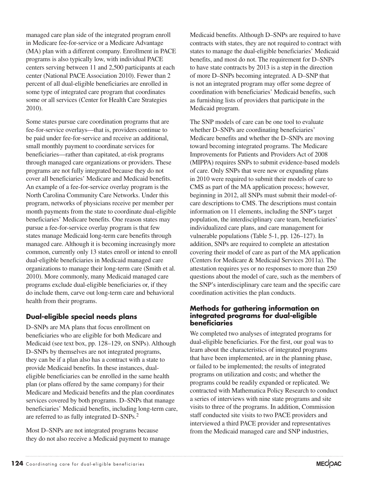managed care plan side of the integrated program enroll in Medicare fee-for-service or a Medicare Advantage (MA) plan with a different company. Enrollment in PACE programs is also typically low, with individual PACE centers serving between 11 and 2,500 participants at each center (National PACE Association 2010). Fewer than 2 percent of all dual-eligible beneficiaries are enrolled in some type of integrated care program that coordinates some or all services (Center for Health Care Strategies 2010).

Some states pursue care coordination programs that are fee-for-service overlays—that is, providers continue to be paid under fee-for-service and receive an additional, small monthly payment to coordinate services for beneficiaries—rather than capitated, at-risk programs through managed care organizations or providers. These programs are not fully integrated because they do not cover all beneficiaries' Medicare and Medicaid benefits. An example of a fee-for-service overlay program is the North Carolina Community Care Networks. Under this program, networks of physicians receive per member per month payments from the state to coordinate dual-eligible beneficiaries' Medicare benefits. One reason states may pursue a fee-for-service overlay program is that few states manage Medicaid long-term care benefits through managed care. Although it is becoming increasingly more common, currently only 13 states enroll or intend to enroll dual-eligible beneficiaries in Medicaid managed care organizations to manage their long-term care (Smith et al. 2010). More commonly, many Medicaid managed care programs exclude dual-eligible beneficiaries or, if they do include them, carve out long-term care and behavioral health from their programs.

### **Dual-eligible special needs plans**

D–SNPs are MA plans that focus enrollment on beneficiaries who are eligible for both Medicare and Medicaid (see text box, pp. 128–129, on SNPs). Although D–SNPs by themselves are not integrated programs, they can be if a plan also has a contract with a state to provide Medicaid benefits. In these instances, dualeligible beneficiaries can be enrolled in the same health plan (or plans offered by the same company) for their Medicare and Medicaid benefits and the plan coordinates services covered by both programs. D–SNPs that manage beneficiaries' Medicaid benefits, including long-term care, are referred to as fully integrated D–SNPs.<sup>2</sup>

Most D–SNPs are not integrated programs because they do not also receive a Medicaid payment to manage Medicaid benefits. Although D–SNPs are required to have contracts with states, they are not required to contract with states to manage the dual-eligible beneficiaries' Medicaid benefits, and most do not. The requirement for D–SNPs to have state contracts by 2013 is a step in the direction of more D–SNPs becoming integrated. A D–SNP that is not an integrated program may offer some degree of coordination with beneficiaries' Medicaid benefits, such as furnishing lists of providers that participate in the Medicaid program.

The SNP models of care can be one tool to evaluate whether D–SNPs are coordinating beneficiaries' Medicare benefits and whether the D–SNPs are moving toward becoming integrated programs. The Medicare Improvements for Patients and Providers Act of 2008 (MIPPA) requires SNPs to submit evidence-based models of care. Only SNPs that were new or expanding plans in 2010 were required to submit their models of care to CMS as part of the MA application process; however, beginning in 2012, all SNPs must submit their model-ofcare descriptions to CMS. The descriptions must contain information on 11 elements, including the SNP's target population, the interdisciplinary care team, beneficiaries' individualized care plans, and care management for vulnerable populations (Table 5-1, pp. 126–127). In addition, SNPs are required to complete an attestation covering their model of care as part of the MA application (Centers for Medicare & Medicaid Services 2011a). The attestation requires yes or no responses to more than 250 questions about the model of care, such as the members of the SNP's interdisciplinary care team and the specific care coordination activities the plan conducts.

#### **Methods for gathering information on integrated programs for dual-eligible beneficiaries**

We completed two analyses of integrated programs for dual-eligible beneficiaries. For the first, our goal was to learn about the characteristics of integrated programs that have been implemented, are in the planning phase, or failed to be implemented; the results of integrated programs on utilization and costs; and whether the programs could be readily expanded or replicated. We contracted with Mathematica Policy Research to conduct a series of interviews with nine state programs and site visits to three of the programs. In addition, Commission staff conducted site visits to two PACE providers and interviewed a third PACE provider and representatives from the Medicaid managed care and SNP industries,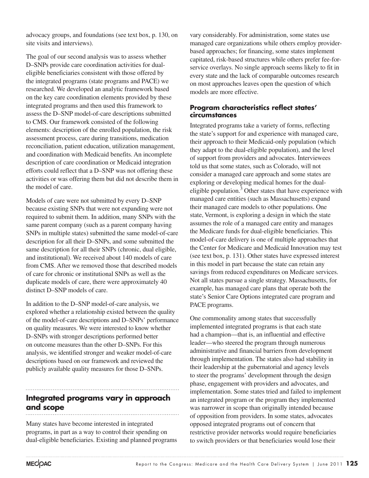advocacy groups, and foundations (see text box, p. 130, on site visits and interviews).

The goal of our second analysis was to assess whether D–SNPs provide care coordination activities for dualeligible beneficiaries consistent with those offered by the integrated programs (state programs and PACE) we researched. We developed an analytic framework based on the key care coordination elements provided by these integrated programs and then used this framework to assess the D–SNP model-of-care descriptions submitted to CMS. Our framework consisted of the following elements: description of the enrolled population, the risk assessment process, care during transitions, medication reconciliation, patient education, utilization management, and coordination with Medicaid benefits. An incomplete description of care coordination or Medicaid integration efforts could reflect that a D–SNP was not offering these activities or was offering them but did not describe them in the model of care.

Models of care were not submitted by every D–SNP because existing SNPs that were not expanding were not required to submit them. In addition, many SNPs with the same parent company (such as a parent company having SNPs in multiple states) submitted the same model-of-care description for all their D–SNPs, and some submitted the same description for all their SNPs (chronic, dual eligible, and institutional). We received about 140 models of care from CMS. After we removed those that described models of care for chronic or institutional SNPs as well as the duplicate models of care, there were approximately 40 distinct D–SNP models of care.

In addition to the D–SNP model-of-care analysis, we explored whether a relationship existed between the quality of the model-of-care descriptions and D–SNPs' performance on quality measures. We were interested to know whether D–SNPs with stronger descriptions performed better on outcome measures than the other D–SNPs. For this analysis, we identified stronger and weaker model-of-care descriptions based on our framework and reviewed the publicly available quality measures for those D–SNPs.

# **Integrated programs vary in approach and scope**

Many states have become interested in integrated programs, in part as a way to control their spending on dual-eligible beneficiaries. Existing and planned programs

vary considerably. For administration, some states use managed care organizations while others employ providerbased approaches; for financing, some states implement capitated, risk-based structures while others prefer fee-forservice overlays. No single approach seems likely to fit in every state and the lack of comparable outcomes research on most approaches leaves open the question of which models are more effective.

#### **Program characteristics reflect states' circumstances**

Integrated programs take a variety of forms, reflecting the state's support for and experience with managed care, their approach to their Medicaid-only population (which they adapt to the dual-eligible population), and the level of support from providers and advocates. Interviewees told us that some states, such as Colorado, will not consider a managed care approach and some states are exploring or developing medical homes for the dualeligible population.<sup>3</sup> Other states that have experience with managed care entities (such as Massachusetts) expand their managed care models to other populations. One state, Vermont, is exploring a design in which the state assumes the role of a managed care entity and manages the Medicare funds for dual-eligible beneficiaries. This model-of-care delivery is one of multiple approaches that the Center for Medicare and Medicaid Innovation may test (see text box, p. 131). Other states have expressed interest in this model in part because the state can retain any savings from reduced expenditures on Medicare services. Not all states pursue a single strategy. Massachusetts, for example, has managed care plans that operate both the state's Senior Care Options integrated care program and PACE programs.

One commonality among states that successfully implemented integrated programs is that each state had a champion—that is, an influential and effective leader—who steered the program through numerous administrative and financial barriers from development through implementation. The states also had stability in their leadership at the gubernatorial and agency levels to steer the programs' development through the design phase, engagement with providers and advocates, and implementation. Some states tried and failed to implement an integrated program or the program they implemented was narrower in scope than originally intended because of opposition from providers. In some states, advocates opposed integrated programs out of concern that restrictive provider networks would require beneficiaries to switch providers or that beneficiaries would lose their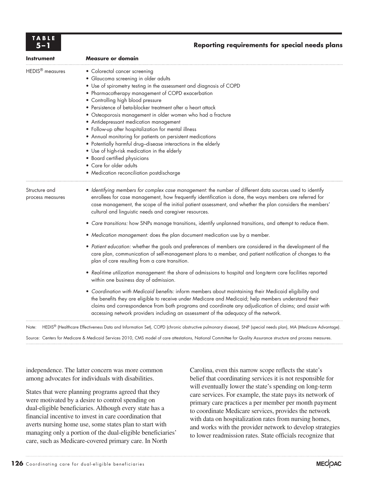| TABLE |  |  |
|-------|--|--|
|       |  |  |

#### **5–1 Reporting requirements for special needs plans**

| <b>Instrument</b>                 | <b>Measure or domain</b>                                                                                                                                                                                                                                                                                                                                                                                                                                                                                                                                                                                                                                                                                                                                        |  |
|-----------------------------------|-----------------------------------------------------------------------------------------------------------------------------------------------------------------------------------------------------------------------------------------------------------------------------------------------------------------------------------------------------------------------------------------------------------------------------------------------------------------------------------------------------------------------------------------------------------------------------------------------------------------------------------------------------------------------------------------------------------------------------------------------------------------|--|
| HEDIS <sup>®</sup> measures       | • Colorectal cancer screening<br>· Glaucoma screening in older adults<br>• Use of spirometry testing in the assessment and diagnosis of COPD<br>• Pharmacotherapy management of COPD exacerbation<br>• Controlling high blood pressure<br>· Persistence of beta-blocker treatment after a heart attack<br>• Osteoporosis management in older women who had a fracture<br>• Antidepressant medication management<br>• Follow-up after hospitalization for mental illness<br>• Annual monitoring for patients on persistent medications<br>• Potentially harmful drug-disease interactions in the elderly<br>• Use of high-risk medication in the elderly<br>• Board certified physicians<br>• Care for older adults<br>• Medication reconciliation postdischarge |  |
| Structure and<br>process measures | · Identifying members for complex case management: the number of different data sources used to identify<br>enrollees for case management, how frequently identification is done, the ways members are referred for<br>case management, the scope of the initial patient assessment, and whether the plan considers the members'<br>cultural and linguistic needs and caregiver resources.                                                                                                                                                                                                                                                                                                                                                                      |  |
|                                   | • Care transitions: how SNPs manage transitions, identify unplanned transitions, and attempt to reduce them.<br>• Medication management: does the plan document medication use by a member.                                                                                                                                                                                                                                                                                                                                                                                                                                                                                                                                                                     |  |
|                                   | • Patient education: whether the goals and preferences of members are considered in the development of the<br>care plan, communication of self-management plans to a member, and patient notification of changes to the<br>plan of care resulting from a care transition.                                                                                                                                                                                                                                                                                                                                                                                                                                                                                       |  |
|                                   | • Real-time utilization management: the share of admissions to hospital and long-term care facilities reported<br>within one business day of admission.                                                                                                                                                                                                                                                                                                                                                                                                                                                                                                                                                                                                         |  |
|                                   | • Coordination with Medicaid benefits: inform members about maintaining their Medicaid eligibility and<br>the benefits they are eligible to receive under Medicare and Medicaid; help members understand their<br>claims and correspondence from both programs and coordinate any adjudication of claims; and assist with<br>accessing network providers including an assessment of the adequacy of the network.                                                                                                                                                                                                                                                                                                                                                |  |
|                                   |                                                                                                                                                                                                                                                                                                                                                                                                                                                                                                                                                                                                                                                                                                                                                                 |  |

Note: HEDIS® (Healthcare Effectiveness Data and Information Set), COPD (chronic obstructive pulmonary disease), SNP (special needs plan), MA (Medicare Advantage).

Source: Centers for Medicare & Medicaid Services 2010, CMS model of care attestations, National Committee for Quality Assurance structure and process measures.

independence. The latter concern was more common among advocates for individuals with disabilities.

States that were planning programs agreed that they were motivated by a desire to control spending on dual-eligible beneficiaries. Although every state has a financial incentive to invest in care coordination that averts nursing home use, some states plan to start with managing only a portion of the dual-eligible beneficiaries' care, such as Medicare-covered primary care. In North

Carolina, even this narrow scope reflects the state's belief that coordinating services it is not responsible for will eventually lower the state's spending on long-term care services. For example, the state pays its network of primary care practices a per member per month payment to coordinate Medicare services, provides the network with data on hospitalization rates from nursing homes, and works with the provider network to develop strategies to lower readmission rates. State officials recognize that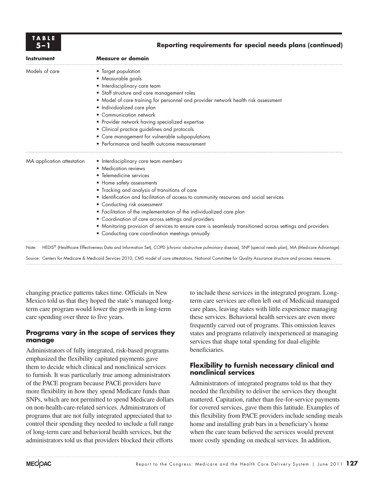

#### **5–1 Reporting requirements for special needs plans (continued)**

| <b>Instrument</b>          | <b>Measure or domain</b>                                                                                                                                        |
|----------------------------|-----------------------------------------------------------------------------------------------------------------------------------------------------------------|
| Models of care             | • Target population                                                                                                                                             |
|                            | • Measurable goals                                                                                                                                              |
|                            | • Interdisciplinary care team                                                                                                                                   |
|                            | • Staff structure and care management roles                                                                                                                     |
|                            | • Model of care training for personnel and provider network health risk assessment                                                                              |
|                            | · Individualized care plan                                                                                                                                      |
|                            | • Communication network                                                                                                                                         |
|                            | • Provider network having specialized expertise                                                                                                                 |
|                            | • Clinical practice guidelines and protocols                                                                                                                    |
|                            | • Care management for vulnerable subpopulations                                                                                                                 |
|                            | • Performance and health outcome measurement                                                                                                                    |
| MA application attestation | • Interdisciplinary care team members                                                                                                                           |
|                            | • Medication reviews                                                                                                                                            |
|                            | • Telemedicine services                                                                                                                                         |
|                            | • Home safety assessments                                                                                                                                       |
|                            | • Tracking and analysis of transitions of care                                                                                                                  |
|                            | · Identification and facilitation of access to community resources and social services                                                                          |
|                            | • Conducting risk assessment                                                                                                                                    |
|                            | • Facilitation of the implementation of the individualized care plan                                                                                            |
|                            | • Coordination of care across settings and providers                                                                                                            |
|                            | • Monitoring provision of services to ensure care is seamlessly transitioned across settings and providers                                                      |
|                            | • Conducting care coordination meetings annually                                                                                                                |
| Note:                      | HEDIS® (Healthcare Effectiveness Data and Information Set), COPD (chronic obstructive pulmonary disease), SNP (special needs plan), MA (Medicare Advantage).    |
|                            | Source: Centers for Medicare & Medicaid Services 2010, CMS model of care attestations, National Committee for Quality Assurance structure and process measures. |

changing practice patterns takes time. Officials in New Mexico told us that they hoped the state's managed longterm care program would lower the growth in long-term care spending over three to five years.

#### **Programs vary in the scope of services they manage**

Administrators of fully integrated, risk-based programs emphasized the flexibility capitated payments gave them to decide which clinical and nonclinical services to furnish. It was particularly true among administrators of the PACE program because PACE providers have more flexibility in how they spend Medicare funds than SNPs, which are not permitted to spend Medicare dollars on non-health-care-related services. Administrators of programs that are not fully integrated appreciated that to control their spending they needed to include a full range of long-term care and behavioral health services, but the administrators told us that providers blocked their efforts

to include these services in the integrated program. Longterm care services are often left out of Medicaid managed care plans, leaving states with little experience managing these services. Behavioral health services are even more frequently carved out of programs. This omission leaves states and programs relatively inexperienced at managing services that shape total spending for dual-eligible beneficiaries.

#### **Flexibility to furnish necessary clinical and nonclinical services**

Administrators of integrated programs told us that they needed the flexibility to deliver the services they thought mattered. Capitation, rather than fee-for-service payments for covered services, gave them this latitude. Examples of this flexibility from PACE providers include sending meals home and installing grab bars in a beneficiary's home when the care team believed the services would prevent more costly spending on medical services. In addition,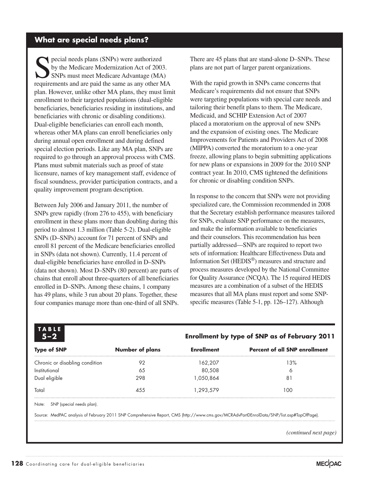### **What are special needs plans?**

pecial needs plans (SNPs) were authorized by the Medicare Modernization Act of 2003. SNPs must meet Medicare Advantage (MA) requirements and are paid the same as any other MA plan. However, unlike other MA plans, they must limit enrollment to their targeted populations (dual-eligible beneficiaries, beneficiaries residing in institutions, and beneficiaries with chronic or disabling conditions). Dual-eligible beneficiaries can enroll each month, whereas other MA plans can enroll beneficiaries only during annual open enrollment and during defined special election periods. Like any MA plan, SNPs are required to go through an approval process with CMS. Plans must submit materials such as proof of state licensure, names of key management staff, evidence of fiscal soundness, provider participation contracts, and a quality improvement program description.

Between July 2006 and January 2011, the number of SNPs grew rapidly (from 276 to 455), with beneficiary enrollment in these plans more than doubling during this period to almost 1.3 million (Table 5-2). Dual-eligible SNPs (D–SNPs) account for 71 percent of SNPs and enroll 81 percent of the Medicare beneficiaries enrolled in SNPs (data not shown). Currently, 11.4 percent of dual-eligible beneficiaries have enrolled in D–SNPs (data not shown). Most D–SNPs (80 percent) are parts of chains that enroll about three-quarters of all beneficiaries enrolled in D–SNPs. Among these chains, 1 company has 49 plans, while 3 run about 20 plans. Together, these four companies manage more than one-third of all SNPs. There are 45 plans that are stand-alone D–SNPs. These plans are not part of larger parent organizations.

With the rapid growth in SNPs came concerns that Medicare's requirements did not ensure that SNPs were targeting populations with special care needs and tailoring their benefit plans to them. The Medicare, Medicaid, and SCHIP Extension Act of 2007 placed a moratorium on the approval of new SNPs and the expansion of existing ones. The Medicare Improvements for Patients and Providers Act of 2008 (MIPPA) converted the moratorium to a one-year freeze, allowing plans to begin submitting applications for new plans or expansions in 2009 for the 2010 SNP contract year. In 2010, CMS tightened the definitions for chronic or disabling condition SNPs.

In response to the concern that SNPs were not providing specialized care, the Commission recommended in 2008 that the Secretary establish performance measures tailored for SNPs, evaluate SNP performance on the measures, and make the information available to beneficiaries and their counselors. This recommendation has been partially addressed—SNPs are required to report two sets of information: Healthcare Effectiveness Data and Information Set (HEDIS®) measures and structure and process measures developed by the National Committee for Quality Assurance (NCQA). The 15 required HEDIS measures are a combination of a subset of the HEDIS measures that all MA plans must report and some SNPspecific measures (Table 5-1, pp. 126–127). Although

| <b>Type of SNP</b>              | <b>Number of plans</b> | <b>Enrollment</b> | <b>Percent of all SNP enrollment</b>                                                                                                     |
|---------------------------------|------------------------|-------------------|------------------------------------------------------------------------------------------------------------------------------------------|
| Chronic or disabling condition  | 92                     | 162.207           | 13%                                                                                                                                      |
| Institutional                   | 65                     | 80,508            | Ô                                                                                                                                        |
| Dual eligible                   | 298                    | 1.050.864         | 8                                                                                                                                        |
| Total                           | 455                    | 1.293.579         | 100                                                                                                                                      |
| Note: SNP (special needs plan). |                        |                   |                                                                                                                                          |
|                                 |                        |                   | Source: MedPAC analysis of February 2011 SNP Comprehensive Report, CMS (http://www.cms.gov/MCRAdvPartDEnrolData/SNP/list.asp#TopOfPage). |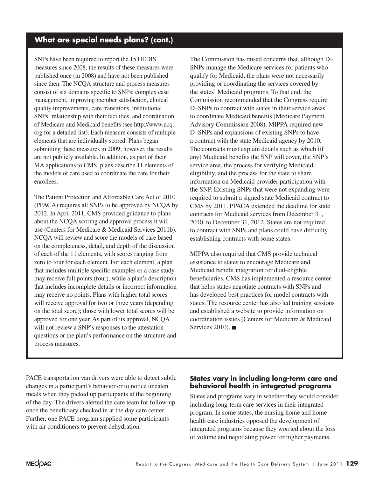### **What are special needs plans? (cont.)**

SNPs have been required to report the 15 HEDIS measures since 2008, the results of these measures were published once (in 2008) and have not been published since then. The NCQA structure and process measures consist of six domains specific to SNPs: complex case management, improving member satisfaction, clinical quality improvements, care transitions, institutional SNPs' relationship with their facilities, and coordination of Medicare and Medicaid benefits (see http://www.ncq. org for a detailed list). Each measure consists of multiple elements that are individually scored. Plans began submitting these measures in 2009; however, the results are not publicly available. In addition, as part of their MA applications to CMS, plans describe 11 elements of the models of care used to coordinate the care for their enrollees.

The Patient Protection and Affordable Care Act of 2010 (PPACA) requires all SNPs to be approved by NCQA by 2012. In April 2011, CMS provided guidance to plans about the NCQA scoring and approval process it will use (Centers for Medicare & Medicaid Services 2011b). NCQA will review and score the models of care based on the completeness, detail, and depth of the discussion of each of the 11 elements, with scores ranging from zero to four for each element. For each element, a plan that includes multiple specific examples or a case study may receive full points (four), while a plan's description that includes incomplete details or incorrect information may receive no points. Plans with higher total scores will receive approval for two or three years (depending on the total score); those with lower total scores will be approved for one year. As part of its approval, NCQA will not review a SNP's responses to the attestation questions or the plan's performance on the structure and process measures.

The Commission has raised concerns that, although D– SNPs manage the Medicare services for patients who qualify for Medicaid, the plans were not necessarily providing or coordinating the services covered by the states' Medicaid programs. To that end, the Commission recommended that the Congress require D–SNPs to contract with states in their service areas to coordinate Medicaid benefits (Medicare Payment Advisory Commission 2008). MIPPA required new D–SNPs and expansions of existing SNPs to have a contract with the state Medicaid agency by 2010. The contracts must explain details such as which (if any) Medicaid benefits the SNP will cover, the SNP's service area, the process for verifying Medicaid eligibility, and the process for the state to share information on Medicaid provider participation with the SNP. Existing SNPs that were not expanding were required to submit a signed state Medicaid contract to CMS by 2011. PPACA extended the deadline for state contracts for Medicaid services from December 31, 2010, to December 31, 2012. States are not required to contract with SNPs and plans could have difficulty establishing contracts with some states.

MIPPA also required that CMS provide technical assistance to states to encourage Medicare and Medicaid benefit integration for dual-eligible beneficiaries. CMS has implemented a resource center that helps states negotiate contracts with SNPs and has developed best practices for model contracts with states. The resource center has also led training sessions and established a website to provide information on coordination issues (Centers for Medicare & Medicaid Services 2010). ■

PACE transportation van drivers were able to detect subtle changes in a participant's behavior or to notice uneaten meals when they picked up participants at the beginning of the day. The drivers alerted the care team for follow-up once the beneficiary checked in at the day care center. Further, one PACE program supplied some participants with air conditioners to prevent dehydration.

#### **States vary in including long-term care and behavioral health in integrated programs**

States and programs vary in whether they would consider including long-term care services in their integrated program. In some states, the nursing home and home health care industries opposed the development of integrated programs because they worried about the loss of volume and negotiating power for higher payments.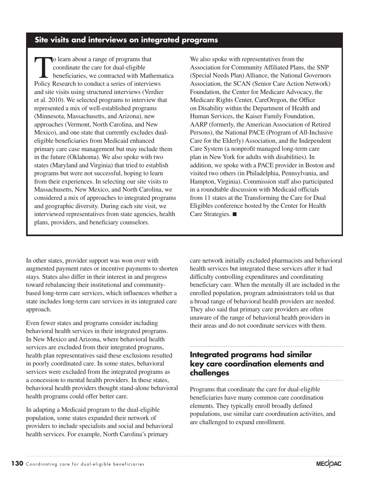## **Site visits and interviews on integrated programs**

To learn about a range of programs that<br>
coordinate the care for dual-eligible<br>
beneficiaries, we contracted with Mathematica<br>
Policy Bessers to conduct a series of interviews coordinate the care for dual-eligible Policy Research to conduct a series of interviews and site visits using structured interviews (Verdier et al. 2010). We selected programs to interview that represented a mix of well-established programs (Minnesota, Massachusetts, and Arizona), new approaches (Vermont, North Carolina, and New Mexico), and one state that currently excludes dualeligible beneficiaries from Medicaid enhanced primary care case management but may include them in the future (Oklahoma). We also spoke with two states (Maryland and Virginia) that tried to establish programs but were not successful, hoping to learn from their experiences. In selecting our site visits to Massachusetts, New Mexico, and North Carolina, we considered a mix of approaches to integrated programs and geographic diversity. During each site visit, we interviewed representatives from state agencies, health plans, providers, and beneficiary counselors.

We also spoke with representatives from the Association for Community Affiliated Plans, the SNP (Special Needs Plan) Alliance, the National Governors Association, the SCAN (Senior Care Action Network) Foundation, the Center for Medicare Advocacy, the Medicare Rights Center, CareOregon, the Office on Disability within the Department of Health and Human Services, the Kaiser Family Foundation, AARP (formerly, the American Association of Retired Persons), the National PACE (Program of All-Inclusive Care for the Elderly) Association, and the Independent Care System (a nonprofit managed long-term care plan in New York for adults with disabilities). In addition, we spoke with a PACE provider in Boston and visited two others (in Philadelphia, Pennsylvania, and Hampton, Virginia). Commission staff also participated in a roundtable discussion with Medicaid officials from 11 states at the Transforming the Care for Dual Eligibles conference hosted by the Center for Health Care Strategies. ■

In other states, provider support was won over with augmented payment rates or incentive payments to shorten stays. States also differ in their interest in and progress toward rebalancing their institutional and communitybased long-term care services, which influences whether a state includes long-term care services in its integrated care approach.

Even fewer states and programs consider including behavioral health services in their integrated programs. In New Mexico and Arizona, where behavioral health services are excluded from their integrated programs, health plan representatives said these exclusions resulted in poorly coordinated care. In some states, behavioral services were excluded from the integrated programs as a concession to mental health providers. In these states, behavioral health providers thought stand-alone behavioral health programs could offer better care.

In adapting a Medicaid program to the dual-eligible population, some states expanded their network of providers to include specialists and social and behavioral health services. For example, North Carolina's primary

care network initially excluded pharmacists and behavioral health services but integrated these services after it had difficulty controlling expenditures and coordinating beneficiary care. When the mentally ill are included in the enrolled population, program administrators told us that a broad range of behavioral health providers are needed. They also said that primary care providers are often unaware of the range of behavioral health providers in their areas and do not coordinate services with them.

#### **Integrated programs had similar key care coordination elements and challenges**

Programs that coordinate the care for dual-eligible beneficiaries have many common care coordination elements. They typically enroll broadly defined populations, use similar care coordination activities, and are challenged to expand enrollment.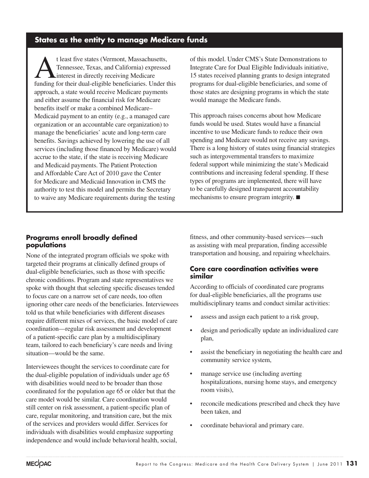# **States as the entity to manage Medicare funds**

t least five states (Vermont, Massachusetts,<br>Tennessee, Texas, and California) expressed<br>interest in directly receiving Medicare<br>funding for their dual eligible hangfielding. Under t Tennessee, Texas, and California) expressed interest in directly receiving Medicare funding for their dual-eligible beneficiaries. Under this approach, a state would receive Medicare payments and either assume the financial risk for Medicare benefits itself or make a combined Medicare– Medicaid payment to an entity (e.g., a managed care organization or an accountable care organization) to manage the beneficiaries' acute and long-term care benefits. Savings achieved by lowering the use of all services (including those financed by Medicare) would accrue to the state, if the state is receiving Medicare and Medicaid payments. The Patient Protection and Affordable Care Act of 2010 gave the Center for Medicare and Medicaid Innovation in CMS the authority to test this model and permits the Secretary to waive any Medicare requirements during the testing

of this model. Under CMS's State Demonstrations to Integrate Care for Dual Eligible Individuals initiative, 15 states received planning grants to design integrated programs for dual-eligible beneficiaries, and some of those states are designing programs in which the state would manage the Medicare funds.

This approach raises concerns about how Medicare funds would be used. States would have a financial incentive to use Medicare funds to reduce their own spending and Medicare would not receive any savings. There is a long history of states using financial strategies such as intergovernmental transfers to maximize federal support while minimizing the state's Medicaid contributions and increasing federal spending. If these types of programs are implemented, there will have to be carefully designed transparent accountability mechanisms to ensure program integrity. ■

#### **Programs enroll broadly defined populations**

None of the integrated program officials we spoke with targeted their programs at clinically defined groups of dual-eligible beneficiaries, such as those with specific chronic conditions. Program and state representatives we spoke with thought that selecting specific diseases tended to focus care on a narrow set of care needs, too often ignoring other care needs of the beneficiaries. Interviewees told us that while beneficiaries with different diseases require different mixes of services, the basic model of care coordination—regular risk assessment and development of a patient-specific care plan by a multidisciplinary team, tailored to each beneficiary's care needs and living situation—would be the same.

Interviewees thought the services to coordinate care for the dual-eligible population of individuals under age 65 with disabilities would need to be broader than those coordinated for the population age 65 or older but that the care model would be similar. Care coordination would still center on risk assessment, a patient-specific plan of care, regular monitoring, and transition care, but the mix of the services and providers would differ. Services for individuals with disabilities would emphasize supporting independence and would include behavioral health, social,

fitness, and other community-based services—such as assisting with meal preparation, finding accessible transportation and housing, and repairing wheelchairs.

#### **Core care coordination activities were similar**

According to officials of coordinated care programs for dual-eligible beneficiaries, all the programs use multidisciplinary teams and conduct similar activities:

- assess and assign each patient to a risk group,
- • design and periodically update an individualized care plan,
- assist the beneficiary in negotiating the health care and community service system,
- manage service use (including averting hospitalizations, nursing home stays, and emergency room visits),
- reconcile medications prescribed and check they have been taken, and
- • coordinate behavioral and primary care.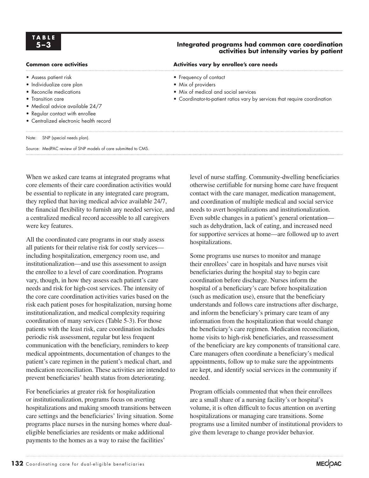# **TA B L E**

- Assess patient risk
- Individualize care plan
- Reconcile medications
- Transition care
- Medical advice available 24/7
- Regular contact with enrollee
- Centralized electronic health record

#### Note: SNP (special needs plan).

Source: MedPAC review of SNP models of care submitted to CMS.

When we asked care teams at integrated programs what core elements of their care coordination activities would be essential to replicate in any integrated care program, they replied that having medical advice available 24/7, the financial flexibility to furnish any needed service, and a centralized medical record accessible to all caregivers were key features.

All the coordinated care programs in our study assess all patients for their relative risk for costly services including hospitalization, emergency room use, and institutionalization—and use this assessment to assign the enrollee to a level of care coordination. Programs vary, though, in how they assess each patient's care needs and risk for high-cost services. The intensity of the core care coordination activities varies based on the risk each patient poses for hospitalization, nursing home institutionalization, and medical complexity requiring coordination of many services (Table 5-3). For those patients with the least risk, care coordination includes periodic risk assessment, regular but less frequent communication with the beneficiary, reminders to keep medical appointments, documentation of changes to the patient's care regimen in the patient's medical chart, and medication reconciliation. These activities are intended to prevent beneficiaries' health status from deteriorating.

For beneficiaries at greater risk for hospitalization or institutionalization, programs focus on averting hospitalizations and making smooth transitions between care settings and the beneficiaries' living situation. Some programs place nurses in the nursing homes where dualeligible beneficiaries are residents or make additional payments to the homes as a way to raise the facilities'

#### **5–3 Integrated programs had common care coordination activities but intensity varies by patient**

Common core activities **Activities Activities vary by enrollee's care needs** 

- Frequency of contact
- Mix of providers
- Mix of medical and social services
- Coordinator-to-patient ratios vary by services that require coordination

level of nurse staffing. Community-dwelling beneficiaries otherwise certifiable for nursing home care have frequent contact with the care manager, medication management, and coordination of multiple medical and social service needs to avert hospitalizations and institutionalization. Even subtle changes in a patient's general orientation such as dehydration, lack of eating, and increased need for supportive services at home—are followed up to avert hospitalizations.

Some programs use nurses to monitor and manage their enrollees' care in hospitals and have nurses visit beneficiaries during the hospital stay to begin care coordination before discharge. Nurses inform the hospital of a beneficiary's care before hospitalization (such as medication use), ensure that the beneficiary understands and follows care instructions after discharge, and inform the beneficiary's primary care team of any information from the hospitalization that would change the beneficiary's care regimen. Medication reconciliation, home visits to high-risk beneficiaries, and reassessment of the beneficiary are key components of transitional care. Care managers often coordinate a beneficiary's medical appointments, follow up to make sure the appointments are kept, and identify social services in the community if needed.

Program officials commented that when their enrollees are a small share of a nursing facility's or hospital's volume, it is often difficult to focus attention on averting hospitalizations or managing care transitions. Some programs use a limited number of institutional providers to give them leverage to change provider behavior.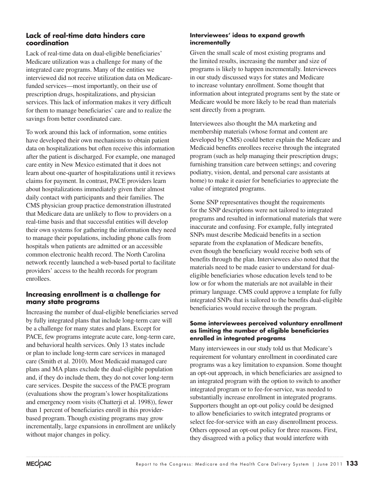#### **Lack of real-time data hinders care coordination**

Lack of real-time data on dual-eligible beneficiaries' Medicare utilization was a challenge for many of the integrated care programs. Many of the entities we interviewed did not receive utilization data on Medicarefunded services—most importantly, on their use of prescription drugs, hospitalizations, and physician services. This lack of information makes it very difficult for them to manage beneficiaries' care and to realize the savings from better coordinated care.

To work around this lack of information, some entities have developed their own mechanisms to obtain patient data on hospitalizations but often receive this information after the patient is discharged. For example, one managed care entity in New Mexico estimated that it does not learn about one-quarter of hospitalizations until it reviews claims for payment. In contrast, PACE providers learn about hospitalizations immediately given their almost daily contact with participants and their families. The CMS physician group practice demonstration illustrated that Medicare data are unlikely to flow to providers on a real-time basis and that successful entities will develop their own systems for gathering the information they need to manage their populations, including phone calls from hospitals when patients are admitted or an accessible common electronic health record. The North Carolina network recently launched a web-based portal to facilitate providers' access to the health records for program enrollees.

#### **Increasing enrollment is a challenge for many state programs**

Increasing the number of dual-eligible beneficiaries served by fully integrated plans that include long-term care will be a challenge for many states and plans. Except for PACE, few programs integrate acute care, long-term care, and behavioral health services. Only 13 states include or plan to include long-term care services in managed care (Smith et al. 2010). Most Medicaid managed care plans and MA plans exclude the dual-eligible population and, if they do include them, they do not cover long-term care services. Despite the success of the PACE program (evaluations show the program's lower hospitalizations and emergency room visits (Chatterji et al. 1998)), fewer than 1 percent of beneficiaries enroll in this providerbased program. Though existing programs may grow incrementally, large expansions in enrollment are unlikely without major changes in policy.

#### **Interviewees' ideas to expand growth incrementally**

Given the small scale of most existing programs and the limited results, increasing the number and size of programs is likely to happen incrementally. Interviewees in our study discussed ways for states and Medicare to increase voluntary enrollment. Some thought that information about integrated programs sent by the state or Medicare would be more likely to be read than materials sent directly from a program.

Interviewees also thought the MA marketing and membership materials (whose format and content are developed by CMS) could better explain the Medicare and Medicaid benefits enrollees receive through the integrated program (such as help managing their prescription drugs; furnishing transition care between settings; and covering podiatry, vision, dental, and personal care assistants at home) to make it easier for beneficiaries to appreciate the value of integrated programs.

Some SNP representatives thought the requirements for the SNP descriptions were not tailored to integrated programs and resulted in informational materials that were inaccurate and confusing. For example, fully integrated SNPs must describe Medicaid benefits in a section separate from the explanation of Medicare benefits, even though the beneficiary would receive both sets of benefits through the plan. Interviewees also noted that the materials need to be made easier to understand for dualeligible beneficiaries whose education levels tend to be low or for whom the materials are not available in their primary language. CMS could approve a template for fully integrated SNPs that is tailored to the benefits dual-eligible beneficiaries would receive through the program.

#### **Some interviewees perceived voluntary enrollment as limiting the number of eligible beneficiaries enrolled in integrated programs**

Many interviewees in our study told us that Medicare's requirement for voluntary enrollment in coordinated care programs was a key limitation to expansion. Some thought an opt-out approach, in which beneficiaries are assigned to an integrated program with the option to switch to another integrated program or to fee-for-service, was needed to substantially increase enrollment in integrated programs. Supporters thought an opt-out policy could be designed to allow beneficiaries to switch integrated programs or select fee-for-service with an easy disenrollment process. Others opposed an opt-out policy for three reasons. First, they disagreed with a policy that would interfere with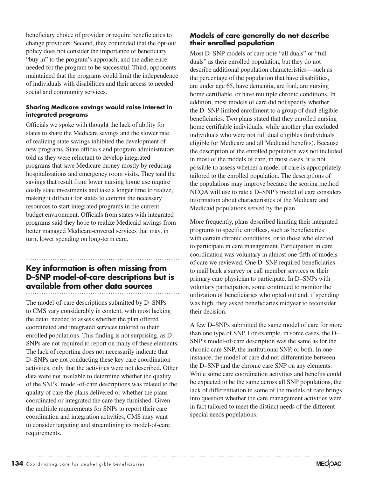beneficiary choice of provider or require beneficiaries to change providers. Second, they contended that the opt-out policy does not consider the importance of beneficiary "buy in" to the program's approach, and the adherence needed for the program to be successful. Third, opponents maintained that the programs could limit the independence of individuals with disabilities and their access to needed social and community services.

#### **Sharing Medicare savings would raise interest in integrated programs**

Officials we spoke with thought the lack of ability for states to share the Medicare savings and the slower rate of realizing state savings inhibited the development of new programs. State officials and program administrators told us they were reluctant to develop integrated programs that save Medicare money mostly by reducing hospitalizations and emergency room visits. They said the savings that result from lower nursing home use require costly state investments and take a longer time to realize, making it difficult for states to commit the necessary resources to start integrated programs in the current budget environment. Officials from states with integrated programs said they hope to realize Medicaid savings from better managed Medicare-covered services that may, in turn, lower spending on long-term care.

# **Key information is often missing from D–SNP model-of-care descriptions but is available from other data sources**

The model-of-care descriptions submitted by D–SNPs to CMS vary considerably in content, with most lacking the detail needed to assess whether the plan offered coordinated and integrated services tailored to their enrolled populations. This finding is not surprising, as D– SNPs are not required to report on many of these elements. The lack of reporting does not necessarily indicate that D–SNPs are not conducting these key care coordination activities, only that the activities were not described. Other data were not available to determine whether the quality of the SNPs' model-of-care descriptions was related to the quality of care the plans delivered or whether the plans coordinated or integrated the care they furnished. Given the multiple requirements for SNPs to report their care coordination and integration activities, CMS may want to consider targeting and streamlining its model-of-care requirements.

#### **Models of care generally do not describe their enrolled population**

Most D–SNP models of care note "all duals" or "full duals" as their enrolled population, but they do not describe additional population characteristics—such as the percentage of the population that have disabilities, are under age 65, have dementia, are frail, are nursing home certifiable, or have multiple chronic conditions. In addition, most models of care did not specify whether the D–SNP limited enrollment to a group of dual-eligible beneficiaries. Two plans stated that they enrolled nursing home certifiable individuals, while another plan excluded individuals who were not full dual eligibles (individuals eligible for Medicare and all Medicaid benefits). Because the description of the enrolled population was not included in most of the models of care, in most cases, it is not possible to assess whether a model of care is appropriately tailored to the enrolled population. The descriptions of the populations may improve because the scoring method NCQA will use to rate a D–SNP's model of care considers information about characteristics of the Medicare and Medicaid populations served by the plan.

More frequently, plans described limiting their integrated programs to specific enrollees, such as beneficiaries with certain chronic conditions, or to those who elected to participate in care management. Participation in care coordination was voluntary in almost one-fifth of models of care we reviewed. One D–SNP required beneficiaries to mail back a survey or call member services or their primary care physician to participate. In D–SNPs with voluntary participation, some continued to monitor the utilization of beneficiaries who opted out and, if spending was high, they asked beneficiaries midyear to reconsider their decision.

A few D–SNPs submitted the same model of care for more than one type of SNP. For example, in some cases, the D– SNP's model-of-care description was the same as for the chronic care SNP, the institutional SNP, or both. In one instance, the model of care did not differentiate between the D–SNP and the chronic care SNP on any elements. While some care coordination activities and benefits could be expected to be the same across all SNP populations, the lack of differentiation in some of the models of care brings into question whether the care management activities were in fact tailored to meet the distinct needs of the different special needs populations.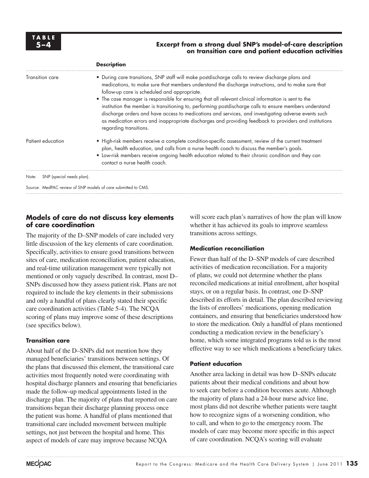#### **5–4 Excerpt from a strong dual SNP's model-of-care description on transition care and patient education activities**

|                                    | <b>Description</b>                                                                                                                                                                                                                                                                                                                                                                                                                                                                                                                                                                                                                                                                                                    |  |
|------------------------------------|-----------------------------------------------------------------------------------------------------------------------------------------------------------------------------------------------------------------------------------------------------------------------------------------------------------------------------------------------------------------------------------------------------------------------------------------------------------------------------------------------------------------------------------------------------------------------------------------------------------------------------------------------------------------------------------------------------------------------|--|
| Transition care                    | • During care transitions, SNP staff will make postdischarge calls to review discharge plans and<br>medications, to make sure that members understand the discharge instructions, and to make sure that<br>follow-up care is scheduled and appropriate.<br>• The case manager is responsible for ensuring that all relevant clinical information is sent to the<br>institution the member is transitioning to, performing postdischarge calls to ensure members understand<br>discharge orders and have access to medications and services, and investigating adverse events such<br>as medication errors and inappropriate discharges and providing feedback to providers and institutions<br>regarding transitions. |  |
| Patient education                  | • High-risk members receive a complete condition-specific assessment, review of the current treatment<br>plan, health education, and calls from a nurse health coach to discuss the member's goals.<br>• Low-risk members receive ongoing health education related to their chronic condition and they can<br>contact a nurse health coach.                                                                                                                                                                                                                                                                                                                                                                           |  |
| SNP (special needs plan).<br>Note: |                                                                                                                                                                                                                                                                                                                                                                                                                                                                                                                                                                                                                                                                                                                       |  |
|                                    | Source: MedPAC review of SNP models of care submitted to CMS.                                                                                                                                                                                                                                                                                                                                                                                                                                                                                                                                                                                                                                                         |  |
|                                    |                                                                                                                                                                                                                                                                                                                                                                                                                                                                                                                                                                                                                                                                                                                       |  |

#### **Models of care do not discuss key elements of care coordination**

The majority of the D–SNP models of care included very little discussion of the key elements of care coordination. Specifically, activities to ensure good transitions between sites of care, medication reconciliation, patient education, and real-time utilization management were typically not mentioned or only vaguely described. In contrast, most D– SNPs discussed how they assess patient risk. Plans are not required to include the key elements in their submissions and only a handful of plans clearly stated their specific care coordination activities (Table 5-4). The NCQA scoring of plans may improve some of these descriptions (see specifics below).

#### **Transition care**

About half of the D–SNPs did not mention how they managed beneficiaries' transitions between settings. Of the plans that discussed this element, the transitional care activities most frequently noted were coordinating with hospital discharge planners and ensuring that beneficiaries made the follow-up medical appointments listed in the discharge plan. The majority of plans that reported on care transitions began their discharge planning process once the patient was home. A handful of plans mentioned that transitional care included movement between multiple settings, not just between the hospital and home. This aspect of models of care may improve because NCQA

will score each plan's narratives of how the plan will know whether it has achieved its goals to improve seamless transitions across settings.

#### **Medication reconciliation**

Fewer than half of the D–SNP models of care described activities of medication reconciliation. For a majority of plans, we could not determine whether the plans reconciled medications at initial enrollment, after hospital stays, or on a regular basis. In contrast, one D–SNP described its efforts in detail. The plan described reviewing the lists of enrollees' medications, opening medication containers, and ensuring that beneficiaries understood how to store the medication. Only a handful of plans mentioned conducting a medication review in the beneficiary's home, which some integrated programs told us is the most effective way to see which medications a beneficiary takes.

#### **Patient education**

Another area lacking in detail was how D–SNPs educate patients about their medical conditions and about how to seek care before a condition becomes acute. Although the majority of plans had a 24-hour nurse advice line, most plans did not describe whether patients were taught how to recognize signs of a worsening condition, who to call, and when to go to the emergency room. The models of care may become more specific in this aspect of care coordination. NCQA's scoring will evaluate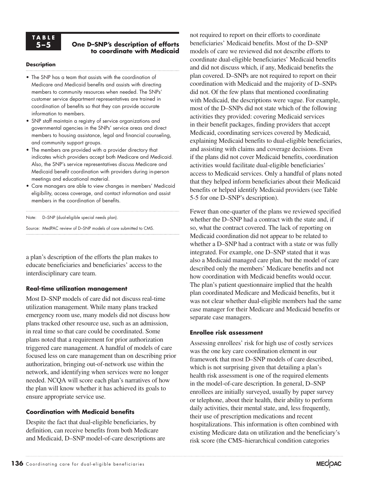# **TA B L E**

#### **5–5 One D–SNP's description of efforts to coordinate with Medicaid**

#### **Description**

- The SNP has a team that assists with the coordination of Medicare and Medicaid benefits and assists with directing members to community resources when needed. The SNPs' customer service department representatives are trained in coordination of benefits so that they can provide accurate information to members.
- SNP staff maintain a registry of service organizations and governmental agencies in the SNPs' service areas and direct members to housing assistance, legal and financial counseling, and community support groups.
- The members are provided with a provider directory that indicates which providers accept both Medicare and Medicaid. Also, the SNP's service representatives discuss Medicare and Medicaid benefit coordination with providers during in-person meetings and educational material.
- Care managers are able to view changes in members' Medicaid eligibility, access coverage, and contact information and assist members in the coordination of benefits.

Note: D-SNP (dual-eligible special needs plan).

Source: MedPAC review of D–SNP models of care submitted to CMS.

a plan's description of the efforts the plan makes to educate beneficiaries and beneficiaries' access to the interdisciplinary care team.

#### **Real-time utilization management**

Most D–SNP models of care did not discuss real-time utilization management. While many plans tracked emergency room use, many models did not discuss how plans tracked other resource use, such as an admission, in real time so that care could be coordinated. Some plans noted that a requirement for prior authorization triggered care management. A handful of models of care focused less on care management than on describing prior authorization, bringing out-of-network use within the network, and identifying when services were no longer needed. NCQA will score each plan's narratives of how the plan will know whether it has achieved its goals to ensure appropriate service use.

#### **Coordination with Medicaid benefits**

Despite the fact that dual-eligible beneficiaries, by definition, can receive benefits from both Medicare and Medicaid, D–SNP model-of-care descriptions are

not required to report on their efforts to coordinate beneficiaries' Medicaid benefits. Most of the D–SNP models of care we reviewed did not describe efforts to coordinate dual-eligible beneficiaries' Medicaid benefits and did not discuss which, if any, Medicaid benefits the plan covered. D–SNPs are not required to report on their coordination with Medicaid and the majority of D–SNPs did not. Of the few plans that mentioned coordinating with Medicaid, the descriptions were vague. For example, most of the D–SNPs did not state which of the following activities they provided: covering Medicaid services in their benefit packages, finding providers that accept Medicaid, coordinating services covered by Medicaid, explaining Medicaid benefits to dual-eligible beneficiaries, and assisting with claims and coverage decisions. Even if the plans did not cover Medicaid benefits, coordination activities would facilitate dual-eligible beneficiaries' access to Medicaid services. Only a handful of plans noted that they helped inform beneficiaries about their Medicaid benefits or helped identify Medicaid providers (see Table 5-5 for one D–SNP's description).

Fewer than one-quarter of the plans we reviewed specified whether the D–SNP had a contract with the state and, if so, what the contract covered. The lack of reporting on Medicaid coordination did not appear to be related to whether a D–SNP had a contract with a state or was fully integrated. For example, one D–SNP stated that it was also a Medicaid managed care plan, but the model of care described only the members' Medicare benefits and not how coordination with Medicaid benefits would occur. The plan's patient questionnaire implied that the health plan coordinated Medicare and Medicaid benefits, but it was not clear whether dual-eligible members had the same case manager for their Medicare and Medicaid benefits or separate case managers.

#### **Enrollee risk assessment**

Assessing enrollees' risk for high use of costly services was the one key care coordination element in our framework that most D–SNP models of care described, which is not surprising given that detailing a plan's health risk assessment is one of the required elements in the model-of-care description. In general, D–SNP enrollees are initially surveyed, usually by paper survey or telephone, about their health, their ability to perform daily activities, their mental state, and, less frequently, their use of prescription medications and recent hospitalizations. This information is often combined with existing Medicare data on utilization and the beneficiary's risk score (the CMS–hierarchical condition categories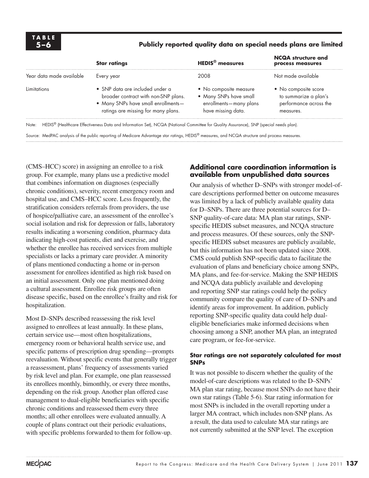#### **5–6 Publicly reported quality data on special needs plans are limited**

| Every year                                                                                                                                            | 2008                                         | Not made available                                                                   |
|-------------------------------------------------------------------------------------------------------------------------------------------------------|----------------------------------------------|--------------------------------------------------------------------------------------|
| • SNP data are included under a<br>broader contract with non-SNP plans.<br>• Many SNPs have small enrollments-<br>ratings are missing for many plans. | enrollments-many plans<br>have missing data. | • No composite score<br>to summarize a plan's<br>performance across the<br>measures. |
|                                                                                                                                                       |                                              | • No composite measure<br>• Many SNPs have small                                     |

Note: HEDIS<sup>®</sup> (Healthcare Effectiveness Data and Information Set), NCQA (National Committee for Quality Assurance), SNP (special needs plan).

Source: MedPAC analysis of the public reporting of Medicare Advantage star ratings, HEDIS® measures, and NCQA structure and process measures.

(CMS–HCC) score) in assigning an enrollee to a risk group. For example, many plans use a predictive model that combines information on diagnoses (especially chronic conditions), severity, recent emergency room and hospital use, and CMS–HCC score. Less frequently, the stratification considers referrals from providers, the use of hospice/palliative care, an assessment of the enrollee's social isolation and risk for depression or falls, laboratory results indicating a worsening condition, pharmacy data indicating high-cost patients, diet and exercise, and whether the enrollee has received services from multiple specialists or lacks a primary care provider. A minority of plans mentioned conducting a home or in-person assessment for enrollees identified as high risk based on an initial assessment. Only one plan mentioned doing a cultural assessment. Enrollee risk groups are often disease specific, based on the enrollee's frailty and risk for hospitalization.

Most D–SNPs described reassessing the risk level assigned to enrollees at least annually. In these plans, certain service use—most often hospitalizations, emergency room or behavioral health service use, and specific patterns of prescription drug spending—prompts reevaluation. Without specific events that generally trigger a reassessment, plans' frequency of assessments varied by risk level and plan. For example, one plan reassessed its enrollees monthly, bimonthly, or every three months, depending on the risk group. Another plan offered case management to dual-eligible beneficiaries with specific chronic conditions and reassessed them every three months; all other enrollees were evaluated annually. A couple of plans contract out their periodic evaluations, with specific problems forwarded to them for follow-up.

#### **Additional care coordination information is available from unpublished data sources**

Our analysis of whether D–SNPs with stronger model-ofcare descriptions performed better on outcome measures was limited by a lack of publicly available quality data for D–SNPs. There are three potential sources for D– SNP quality-of-care data: MA plan star ratings, SNPspecific HEDIS subset measures, and NCQA structure and process measures. Of these sources, only the SNPspecific HEDIS subset measures are publicly available, but this information has not been updated since 2008. CMS could publish SNP-specific data to facilitate the evaluation of plans and beneficiary choice among SNPs, MA plans, and fee-for-service. Making the SNP HEDIS and NCQA data publicly available and developing and reporting SNP star ratings could help the policy community compare the quality of care of D–SNPs and identify areas for improvement. In addition, publicly reporting SNP-specific quality data could help dualeligible beneficiaries make informed decisions when choosing among a SNP, another MA plan, an integrated care program, or fee-for-service.

#### **Star ratings are not separately calculated for most SNPs**

It was not possible to discern whether the quality of the model-of-care descriptions was related to the D–SNPs' MA plan star rating, because most SNPs do not have their own star ratings (Table 5-6). Star rating information for most SNPs is included in the overall reporting under a larger MA contract, which includes non-SNP plans. As a result, the data used to calculate MA star ratings are not currently submitted at the SNP level. The exception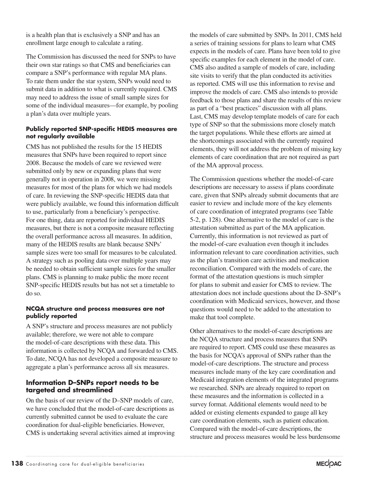is a health plan that is exclusively a SNP and has an enrollment large enough to calculate a rating.

The Commission has discussed the need for SNPs to have their own star ratings so that CMS and beneficiaries can compare a SNP's performance with regular MA plans. To rate them under the star system, SNPs would need to submit data in addition to what is currently required. CMS may need to address the issue of small sample sizes for some of the individual measures—for example, by pooling a plan's data over multiple years.

#### **Publicly reported SNP-specific HEDIS measures are not regularly available**

CMS has not published the results for the 15 HEDIS measures that SNPs have been required to report since 2008. Because the models of care we reviewed were submitted only by new or expanding plans that were generally not in operation in 2008, we were missing measures for most of the plans for which we had models of care. In reviewing the SNP-specific HEDIS data that were publicly available, we found this information difficult to use, particularly from a beneficiary's perspective. For one thing, data are reported for individual HEDIS measures, but there is not a composite measure reflecting the overall performance across all measures. In addition, many of the HEDIS results are blank because SNPs' sample sizes were too small for measures to be calculated. A strategy such as pooling data over multiple years may be needed to obtain sufficient sample sizes for the smaller plans. CMS is planning to make public the more recent SNP-specific HEDIS results but has not set a timetable to do so.

#### **NCQA structure and process measures are not publicly reported**

A SNP's structure and process measures are not publicly available; therefore, we were not able to compare the model-of-care descriptions with these data. This information is collected by NCQA and forwarded to CMS. To date, NCQA has not developed a composite measure to aggregate a plan's performance across all six measures.

#### **Information D–SNPs report needs to be targeted and streamlined**

On the basis of our review of the D–SNP models of care, we have concluded that the model-of-care descriptions as currently submitted cannot be used to evaluate the care coordination for dual-eligible beneficiaries. However, CMS is undertaking several activities aimed at improving

the models of care submitted by SNPs. In 2011, CMS held a series of training sessions for plans to learn what CMS expects in the models of care. Plans have been told to give specific examples for each element in the model of care. CMS also audited a sample of models of care, including site visits to verify that the plan conducted its activities as reported. CMS will use this information to revise and improve the models of care. CMS also intends to provide feedback to those plans and share the results of this review as part of a "best practices" discussion with all plans. Last, CMS may develop template models of care for each type of SNP so that the submissions more closely match the target populations. While these efforts are aimed at the shortcomings associated with the currently required elements, they will not address the problem of missing key elements of care coordination that are not required as part of the MA approval process.

The Commission questions whether the model-of-care descriptions are necessary to assess if plans coordinate care, given that SNPs already submit documents that are easier to review and include more of the key elements of care coordination of integrated programs (see Table 5-2, p. 128). One alternative to the model of care is the attestation submitted as part of the MA application. Currently, this information is not reviewed as part of the model-of-care evaluation even though it includes information relevant to care coordination activities, such as the plan's transition care activities and medication reconciliation. Compared with the models of care, the format of the attestation questions is much simpler for plans to submit and easier for CMS to review. The attestation does not include questions about the D–SNP's coordination with Medicaid services, however, and those questions would need to be added to the attestation to make that tool complete.

Other alternatives to the model-of-care descriptions are the NCQA structure and process measures that SNPs are required to report. CMS could use these measures as the basis for NCQA's approval of SNPs rather than the model-of-care descriptions. The structure and process measures include many of the key care coordination and Medicaid integration elements of the integrated programs we researched. SNPs are already required to report on these measures and the information is collected in a survey format. Additional elements would need to be added or existing elements expanded to gauge all key care coordination elements, such as patient education. Compared with the model-of-care descriptions, the structure and process measures would be less burdensome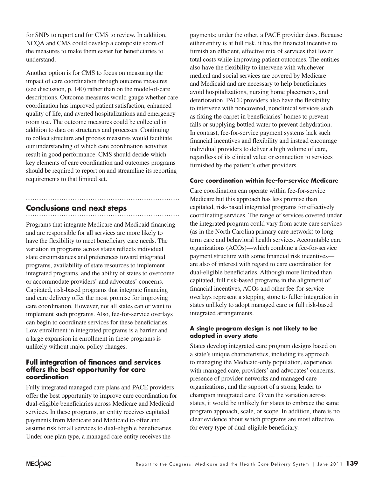for SNPs to report and for CMS to review. In addition, NCQA and CMS could develop a composite score of the measures to make them easier for beneficiaries to understand.

Another option is for CMS to focus on measuring the impact of care coordination through outcome measures (see discussion, p. 140) rather than on the model-of-care descriptions. Outcome measures would gauge whether care coordination has improved patient satisfaction, enhanced quality of life, and averted hospitalizations and emergency room use. The outcome measures could be collected in addition to data on structures and processes. Continuing to collect structure and process measures would facilitate our understanding of which care coordination activities result in good performance. CMS should decide which key elements of care coordination and outcomes programs should be required to report on and streamline its reporting requirements to that limited set.

## **Conclusions and next steps**

Programs that integrate Medicare and Medicaid financing and are responsible for all services are more likely to have the flexibility to meet beneficiary care needs. The variation in programs across states reflects individual state circumstances and preferences toward integrated programs, availability of state resources to implement integrated programs, and the ability of states to overcome or accommodate providers' and advocates' concerns. Capitated, risk-based programs that integrate financing and care delivery offer the most promise for improving care coordination. However, not all states can or want to implement such programs. Also, fee-for-service overlays can begin to coordinate services for these beneficiaries. Low enrollment in integrated programs is a barrier and a large expansion in enrollment in these programs is unlikely without major policy changes.

#### **Full integration of finances and services offers the best opportunity for care coordination**

Fully integrated managed care plans and PACE providers offer the best opportunity to improve care coordination for dual-eligible beneficiaries across Medicare and Medicaid services. In these programs, an entity receives capitated payments from Medicare and Medicaid to offer and assume risk for all services to dual-eligible beneficiaries. Under one plan type, a managed care entity receives the

payments; under the other, a PACE provider does. Because either entity is at full risk, it has the financial incentive to furnish an efficient, effective mix of services that lower total costs while improving patient outcomes. The entities also have the flexibility to intervene with whichever medical and social services are covered by Medicare and Medicaid and are necessary to help beneficiaries avoid hospitalizations, nursing home placements, and deterioration. PACE providers also have the flexibility to intervene with noncovered, nonclinical services such as fixing the carpet in beneficiaries' homes to prevent falls or supplying bottled water to prevent dehydration. In contrast, fee-for-service payment systems lack such financial incentives and flexibility and instead encourage individual providers to deliver a high volume of care, regardless of its clinical value or connection to services furnished by the patient's other providers.

#### **Care coordination within fee-for-service Medicare**

Care coordination can operate within fee-for-service Medicare but this approach has less promise than capitated, risk-based integrated programs for effectively coordinating services. The range of services covered under the integrated program could vary from acute care services (as in the North Carolina primary care network) to longterm care and behavioral health services. Accountable care organizations (ACOs)—which combine a fee-for-service payment structure with some financial risk incentives are also of interest with regard to care coordination for dual-eligible beneficiaries. Although more limited than capitated, full risk-based programs in the alignment of financial incentives, ACOs and other fee-for-service overlays represent a stepping stone to fuller integration in states unlikely to adopt managed care or full risk-based integrated arrangements.

#### **A single program design is not likely to be adopted in every state**

States develop integrated care program designs based on a state's unique characteristics, including its approach to managing the Medicaid-only population, experience with managed care, providers' and advocates' concerns, presence of provider networks and managed care organizations, and the support of a strong leader to champion integrated care. Given the variation across states, it would be unlikely for states to embrace the same program approach, scale, or scope. In addition, there is no clear evidence about which programs are most effective for every type of dual-eligible beneficiary.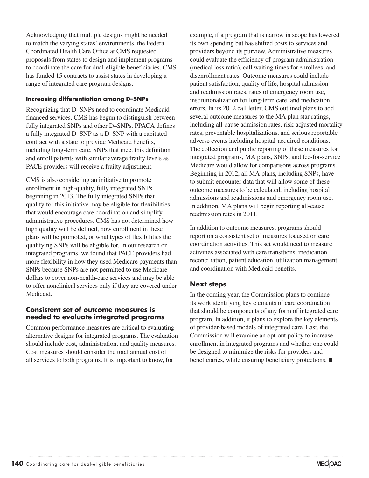Acknowledging that multiple designs might be needed to match the varying states' environments, the Federal Coordinated Health Care Office at CMS requested proposals from states to design and implement programs to coordinate the care for dual-eligible beneficiaries. CMS has funded 15 contracts to assist states in developing a range of integrated care program designs.

#### **Increasing differentiation among D–SNPs**

Recognizing that D–SNPs need to coordinate Medicaidfinanced services, CMS has begun to distinguish between fully integrated SNPs and other D–SNPs. PPACA defines a fully integrated D–SNP as a D–SNP with a capitated contract with a state to provide Medicaid benefits, including long-term care. SNPs that meet this definition and enroll patients with similar average frailty levels as PACE providers will receive a frailty adjustment.

CMS is also considering an initiative to promote enrollment in high-quality, fully integrated SNPs beginning in 2013. The fully integrated SNPs that qualify for this initiative may be eligible for flexibilities that would encourage care coordination and simplify administrative procedures. CMS has not determined how high quality will be defined, how enrollment in these plans will be promoted, or what types of flexibilities the qualifying SNPs will be eligible for. In our research on integrated programs, we found that PACE providers had more flexibility in how they used Medicare payments than SNPs because SNPs are not permitted to use Medicare dollars to cover non-health-care services and may be able to offer nonclinical services only if they are covered under **Medicaid** 

#### **Consistent set of outcome measures is needed to evaluate integrated programs**

Common performance measures are critical to evaluating alternative designs for integrated programs. The evaluation should include cost, administration, and quality measures. Cost measures should consider the total annual cost of all services to both programs. It is important to know, for

example, if a program that is narrow in scope has lowered its own spending but has shifted costs to services and providers beyond its purview. Administrative measures could evaluate the efficiency of program administration (medical loss ratio), call waiting times for enrollees, and disenrollment rates. Outcome measures could include patient satisfaction, quality of life, hospital admission and readmission rates, rates of emergency room use, institutionalization for long-term care, and medication errors. In its 2012 call letter, CMS outlined plans to add several outcome measures to the MA plan star ratings, including all-cause admission rates, risk-adjusted mortality rates, preventable hospitalizations, and serious reportable adverse events including hospital-acquired conditions. The collection and public reporting of these measures for integrated programs, MA plans, SNPs, and fee-for-service Medicare would allow for comparisons across programs. Beginning in 2012, all MA plans, including SNPs, have to submit encounter data that will allow some of these outcome measures to be calculated, including hospital admissions and readmissions and emergency room use. In addition, MA plans will begin reporting all-cause readmission rates in 2011.

In addition to outcome measures, programs should report on a consistent set of measures focused on care coordination activities. This set would need to measure activities associated with care transitions, medication reconciliation, patient education, utilization management, and coordination with Medicaid benefits.

#### **Next steps**

In the coming year, the Commission plans to continue its work identifying key elements of care coordination that should be components of any form of integrated care program. In addition, it plans to explore the key elements of provider-based models of integrated care. Last, the Commission will examine an opt-out policy to increase enrollment in integrated programs and whether one could be designed to minimize the risks for providers and beneficiaries, while ensuring beneficiary protections. ■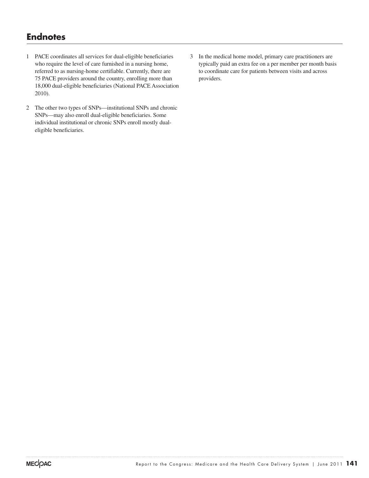# **Endnotes**

- 1 PACE coordinates all services for dual-eligible beneficiaries who require the level of care furnished in a nursing home, referred to as nursing-home certifiable. Currently, there are 75 PACE providers around the country, enrolling more than 18,000 dual-eligible beneficiaries (National PACE Association 2010).
- 2 The other two types of SNPs—institutional SNPs and chronic SNPs—may also enroll dual-eligible beneficiaries. Some individual institutional or chronic SNPs enroll mostly dualeligible beneficiaries.
- 3 In the medical home model, primary care practitioners are typically paid an extra fee on a per member per month basis to coordinate care for patients between visits and across providers.